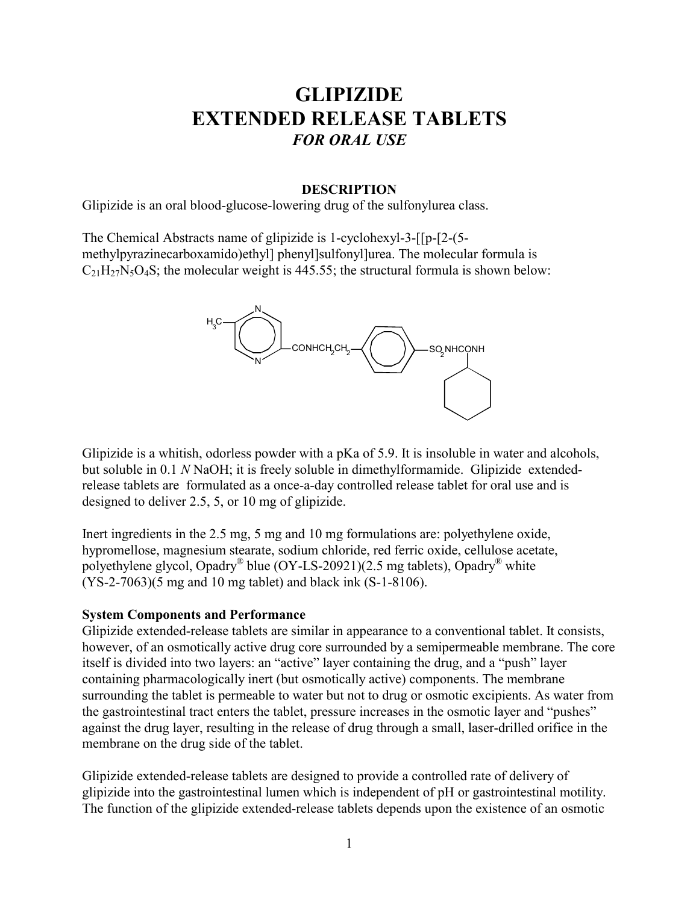# **GLIPIZIDE EXTENDED RELEASE TABLETS** *FOR ORAL USE*

### **DESCRIPTION**

Glipizide is an oral blood-glucose-lowering drug of the sulfonylurea class.

The Chemical Abstracts name of glipizide is 1-cyclohexyl-3-[[p-[2-(5 methylpyrazinecarboxamido)ethyl] phenyl]sulfonyl]urea. The molecular formula is  $C<sub>21</sub>H<sub>27</sub>N<sub>5</sub>O<sub>4</sub>S$ ; the molecular weight is 445.55; the structural formula is shown below:



Glipizide is a whitish, odorless powder with a pKa of 5.9. It is insoluble in water and alcohols, but soluble in 0.1 *N* NaOH; it is freely soluble in dimethylformamide. Glipizide extendedrelease tablets are formulated as a once-a-day controlled release tablet for oral use and is designed to deliver 2.5, 5, or 10 mg of glipizide.

Inert ingredients in the 2.5 mg, 5 mg and 10 mg formulations are: polyethylene oxide, hypromellose, magnesium stearate, sodium chloride, red ferric oxide, cellulose acetate, polyethylene glycol, Opadry® blue (OY-LS-20921)(2.5 mg tablets), Opadry® white (YS-2-7063)(5 mg and 10 mg tablet) and black ink (S-1-8106).

### **System Components and Performance**

Glipizide extended-release tablets are similar in appearance to a conventional tablet. It consists, however, of an osmotically active drug core surrounded by a semipermeable membrane. The core itself is divided into two layers: an "active" layer containing the drug, and a "push" layer containing pharmacologically inert (but osmotically active) components. The membrane surrounding the tablet is permeable to water but not to drug or osmotic excipients. As water from the gastrointestinal tract enters the tablet, pressure increases in the osmotic layer and "pushes" against the drug layer, resulting in the release of drug through a small, laser-drilled orifice in the membrane on the drug side of the tablet.

Glipizide extended-release tablets are designed to provide a controlled rate of delivery of glipizide into the gastrointestinal lumen which is independent of pH or gastrointestinal motility. The function of the glipizide extended-release tablets depends upon the existence of an osmotic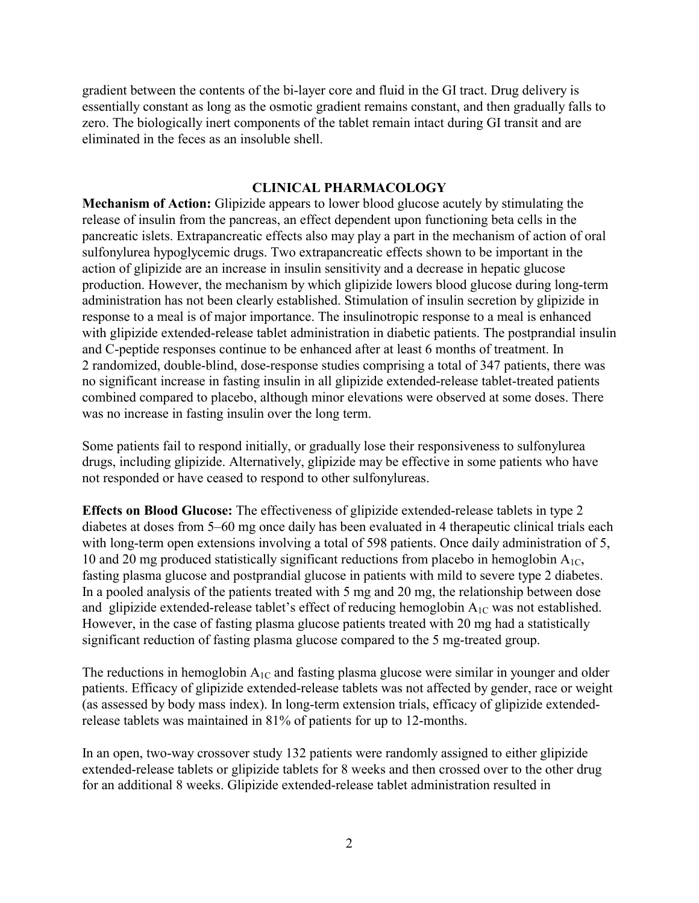gradient between the contents of the bi-layer core and fluid in the GI tract. Drug delivery is essentially constant as long as the osmotic gradient remains constant, and then gradually falls to zero. The biologically inert components of the tablet remain intact during GI transit and are eliminated in the feces as an insoluble shell.

### **CLINICAL PHARMACOLOGY**

**Mechanism of Action:** Glipizide appears to lower blood glucose acutely by stimulating the release of insulin from the pancreas, an effect dependent upon functioning beta cells in the pancreatic islets. Extrapancreatic effects also may play a part in the mechanism of action of oral sulfonylurea hypoglycemic drugs. Two extrapancreatic effects shown to be important in the action of glipizide are an increase in insulin sensitivity and a decrease in hepatic glucose production. However, the mechanism by which glipizide lowers blood glucose during long-term administration has not been clearly established. Stimulation of insulin secretion by glipizide in response to a meal is of major importance. The insulinotropic response to a meal is enhanced with glipizide extended-release tablet administration in diabetic patients. The postprandial insulin and C-peptide responses continue to be enhanced after at least 6 months of treatment. In 2 randomized, double-blind, dose-response studies comprising a total of 347 patients, there was no significant increase in fasting insulin in all glipizide extended-release tablet-treated patients combined compared to placebo, although minor elevations were observed at some doses. There was no increase in fasting insulin over the long term.

Some patients fail to respond initially, or gradually lose their responsiveness to sulfonylurea drugs, including glipizide. Alternatively, glipizide may be effective in some patients who have not responded or have ceased to respond to other sulfonylureas.

**Effects on Blood Glucose:** The effectiveness of glipizide extended-release tablets in type 2 diabetes at doses from 5–60 mg once daily has been evaluated in 4 therapeutic clinical trials each with long-term open extensions involving a total of 598 patients. Once daily administration of 5, 10 and 20 mg produced statistically significant reductions from placebo in hemoglobin  $A_{1C}$ , fasting plasma glucose and postprandial glucose in patients with mild to severe type 2 diabetes. In a pooled analysis of the patients treated with 5 mg and 20 mg, the relationship between dose and glipizide extended-release tablet's effect of reducing hemoglobin  $A_{1C}$  was not established. However, in the case of fasting plasma glucose patients treated with 20 mg had a statistically significant reduction of fasting plasma glucose compared to the 5 mg-treated group.

The reductions in hemoglobin  $A_{1C}$  and fasting plasma glucose were similar in younger and older patients. Efficacy of glipizide extended-release tablets was not affected by gender, race or weight (as assessed by body mass index). In long-term extension trials, efficacy of glipizide extendedrelease tablets was maintained in 81% of patients for up to 12-months.

In an open, two-way crossover study 132 patients were randomly assigned to either glipizide extended-release tablets or glipizide tablets for 8 weeks and then crossed over to the other drug for an additional 8 weeks. Glipizide extended-release tablet administration resulted in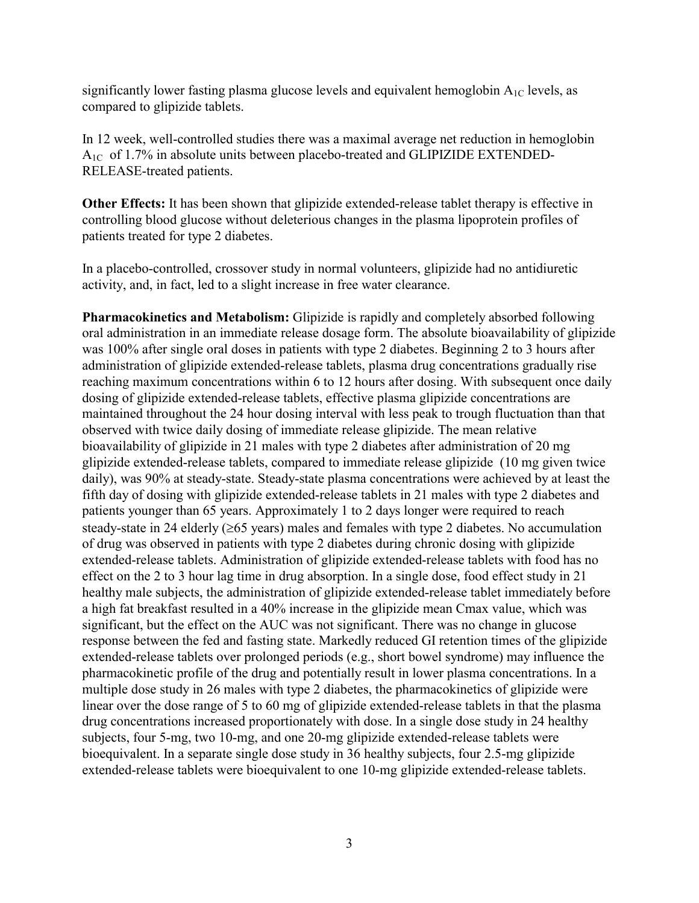significantly lower fasting plasma glucose levels and equivalent hemoglobin  $A_{1C}$  levels, as compared to glipizide tablets.

In 12 week, well-controlled studies there was a maximal average net reduction in hemoglobin A1C of 1.7% in absolute units between placebo-treated and GLIPIZIDE EXTENDED-RELEASE-treated patients.

**Other Effects:** It has been shown that glipizide extended-release tablet therapy is effective in controlling blood glucose without deleterious changes in the plasma lipoprotein profiles of patients treated for type 2 diabetes.

In a placebo-controlled, crossover study in normal volunteers, glipizide had no antidiuretic activity, and, in fact, led to a slight increase in free water clearance.

**Pharmacokinetics and Metabolism:** Glipizide is rapidly and completely absorbed following oral administration in an immediate release dosage form. The absolute bioavailability of glipizide was 100% after single oral doses in patients with type 2 diabetes. Beginning 2 to 3 hours after administration of glipizide extended-release tablets, plasma drug concentrations gradually rise reaching maximum concentrations within 6 to 12 hours after dosing. With subsequent once daily dosing of glipizide extended-release tablets, effective plasma glipizide concentrations are maintained throughout the 24 hour dosing interval with less peak to trough fluctuation than that observed with twice daily dosing of immediate release glipizide. The mean relative bioavailability of glipizide in 21 males with type 2 diabetes after administration of 20 mg glipizide extended-release tablets, compared to immediate release glipizide (10 mg given twice daily), was 90% at steady-state. Steady-state plasma concentrations were achieved by at least the fifth day of dosing with glipizide extended-release tablets in 21 males with type 2 diabetes and patients younger than 65 years. Approximately 1 to 2 days longer were required to reach steady-state in 24 elderly ( $\geq$ 65 years) males and females with type 2 diabetes. No accumulation of drug was observed in patients with type 2 diabetes during chronic dosing with glipizide extended-release tablets. Administration of glipizide extended-release tablets with food has no effect on the 2 to 3 hour lag time in drug absorption. In a single dose, food effect study in 21 healthy male subjects, the administration of glipizide extended-release tablet immediately before a high fat breakfast resulted in a 40% increase in the glipizide mean Cmax value, which was significant, but the effect on the AUC was not significant. There was no change in glucose response between the fed and fasting state. Markedly reduced GI retention times of the glipizide extended-release tablets over prolonged periods (e.g., short bowel syndrome) may influence the pharmacokinetic profile of the drug and potentially result in lower plasma concentrations. In a multiple dose study in 26 males with type 2 diabetes, the pharmacokinetics of glipizide were linear over the dose range of 5 to 60 mg of glipizide extended-release tablets in that the plasma drug concentrations increased proportionately with dose. In a single dose study in 24 healthy subjects, four 5-mg, two 10-mg, and one 20-mg glipizide extended-release tablets were bioequivalent. In a separate single dose study in 36 healthy subjects, four 2.5-mg glipizide extended-release tablets were bioequivalent to one 10-mg glipizide extended-release tablets.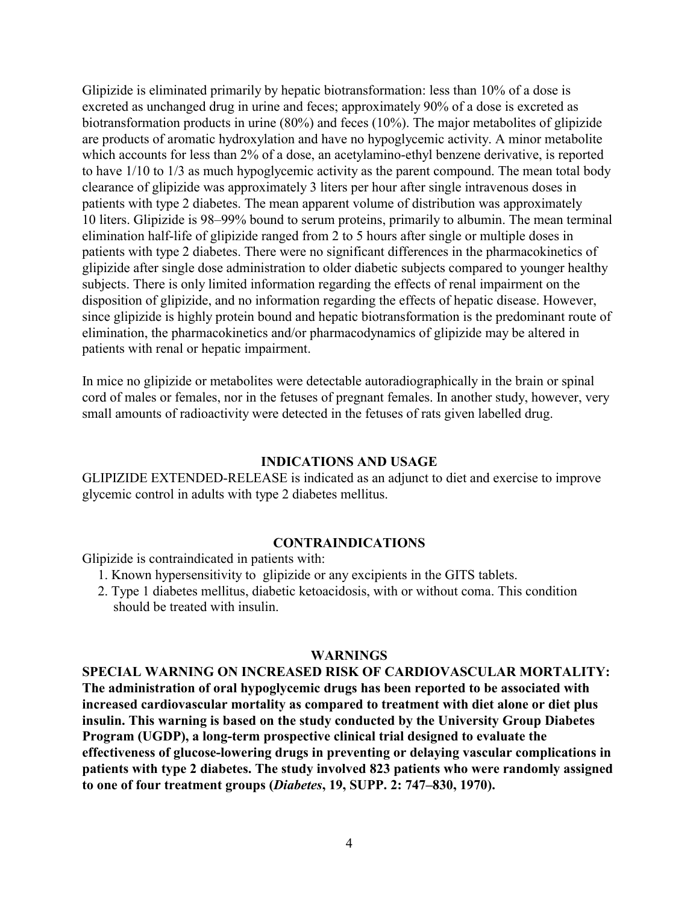Glipizide is eliminated primarily by hepatic biotransformation: less than 10% of a dose is excreted as unchanged drug in urine and feces; approximately 90% of a dose is excreted as biotransformation products in urine (80%) and feces (10%). The major metabolites of glipizide are products of aromatic hydroxylation and have no hypoglycemic activity. A minor metabolite which accounts for less than 2% of a dose, an acetylamino-ethyl benzene derivative, is reported to have 1/10 to 1/3 as much hypoglycemic activity as the parent compound. The mean total body clearance of glipizide was approximately 3 liters per hour after single intravenous doses in patients with type 2 diabetes. The mean apparent volume of distribution was approximately 10 liters. Glipizide is 98–99% bound to serum proteins, primarily to albumin. The mean terminal elimination half-life of glipizide ranged from 2 to 5 hours after single or multiple doses in patients with type 2 diabetes. There were no significant differences in the pharmacokinetics of glipizide after single dose administration to older diabetic subjects compared to younger healthy subjects. There is only limited information regarding the effects of renal impairment on the disposition of glipizide, and no information regarding the effects of hepatic disease. However, since glipizide is highly protein bound and hepatic biotransformation is the predominant route of elimination, the pharmacokinetics and/or pharmacodynamics of glipizide may be altered in patients with renal or hepatic impairment.

In mice no glipizide or metabolites were detectable autoradiographically in the brain or spinal cord of males or females, nor in the fetuses of pregnant females. In another study, however, very small amounts of radioactivity were detected in the fetuses of rats given labelled drug.

#### **INDICATIONS AND USAGE**

GLIPIZIDE EXTENDED-RELEASE is indicated as an adjunct to diet and exercise to improve glycemic control in adults with type 2 diabetes mellitus.

#### **CONTRAINDICATIONS**

Glipizide is contraindicated in patients with:

- 1. Known hypersensitivity to glipizide or any excipients in the GITS tablets.
- 2. Type 1 diabetes mellitus, diabetic ketoacidosis, with or without coma. This condition should be treated with insulin.

#### **WARNINGS**

**SPECIAL WARNING ON INCREASED RISK OF CARDIOVASCULAR MORTALITY: The administration of oral hypoglycemic drugs has been reported to be associated with increased cardiovascular mortality as compared to treatment with diet alone or diet plus insulin. This warning is based on the study conducted by the University Group Diabetes Program (UGDP), a long-term prospective clinical trial designed to evaluate the effectiveness of glucose-lowering drugs in preventing or delaying vascular complications in patients with type 2 diabetes. The study involved 823 patients who were randomly assigned to one of four treatment groups (***Diabetes***, 19, SUPP. 2: 747–830, 1970).**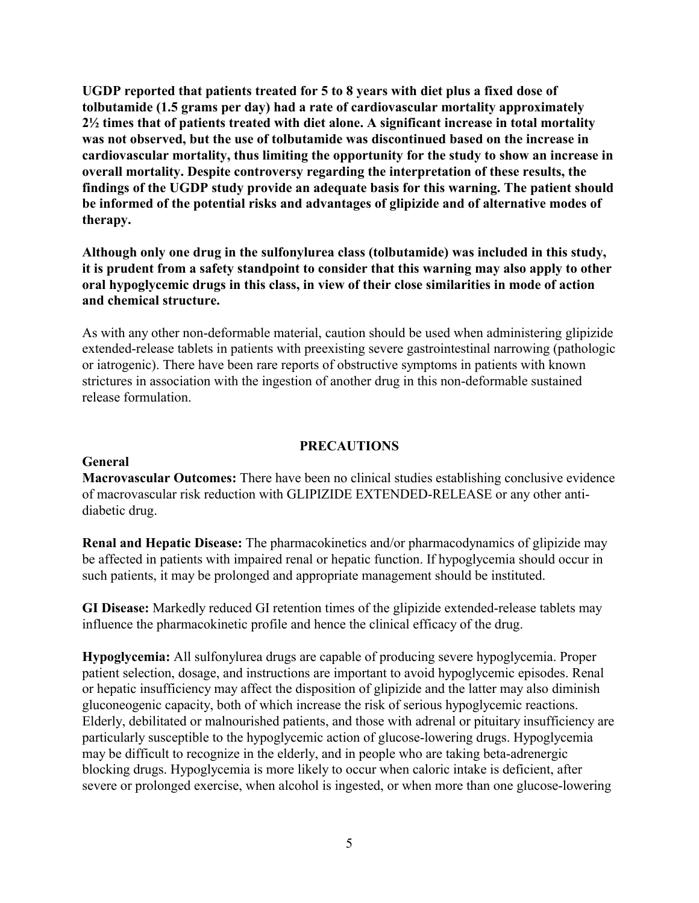**UGDP reported that patients treated for 5 to 8 years with diet plus a fixed dose of tolbutamide (1.5 grams per day) had a rate of cardiovascular mortality approximately 2½ times that of patients treated with diet alone. A significant increase in total mortality was not observed, but the use of tolbutamide was discontinued based on the increase in cardiovascular mortality, thus limiting the opportunity for the study to show an increase in overall mortality. Despite controversy regarding the interpretation of these results, the findings of the UGDP study provide an adequate basis for this warning. The patient should be informed of the potential risks and advantages of glipizide and of alternative modes of therapy.**

**Although only one drug in the sulfonylurea class (tolbutamide) was included in this study, it is prudent from a safety standpoint to consider that this warning may also apply to other oral hypoglycemic drugs in this class, in view of their close similarities in mode of action and chemical structure.**

As with any other non-deformable material, caution should be used when administering glipizide extended-release tablets in patients with preexisting severe gastrointestinal narrowing (pathologic or iatrogenic). There have been rare reports of obstructive symptoms in patients with known strictures in association with the ingestion of another drug in this non-deformable sustained release formulation.

### **PRECAUTIONS**

#### **General**

**Macrovascular Outcomes:** There have been no clinical studies establishing conclusive evidence of macrovascular risk reduction with GLIPIZIDE EXTENDED-RELEASE or any other antidiabetic drug.

**Renal and Hepatic Disease:** The pharmacokinetics and/or pharmacodynamics of glipizide may be affected in patients with impaired renal or hepatic function. If hypoglycemia should occur in such patients, it may be prolonged and appropriate management should be instituted.

**GI Disease:** Markedly reduced GI retention times of the glipizide extended-release tablets may influence the pharmacokinetic profile and hence the clinical efficacy of the drug.

**Hypoglycemia:** All sulfonylurea drugs are capable of producing severe hypoglycemia. Proper patient selection, dosage, and instructions are important to avoid hypoglycemic episodes. Renal or hepatic insufficiency may affect the disposition of glipizide and the latter may also diminish gluconeogenic capacity, both of which increase the risk of serious hypoglycemic reactions. Elderly, debilitated or malnourished patients, and those with adrenal or pituitary insufficiency are particularly susceptible to the hypoglycemic action of glucose-lowering drugs. Hypoglycemia may be difficult to recognize in the elderly, and in people who are taking beta-adrenergic blocking drugs. Hypoglycemia is more likely to occur when caloric intake is deficient, after severe or prolonged exercise, when alcohol is ingested, or when more than one glucose-lowering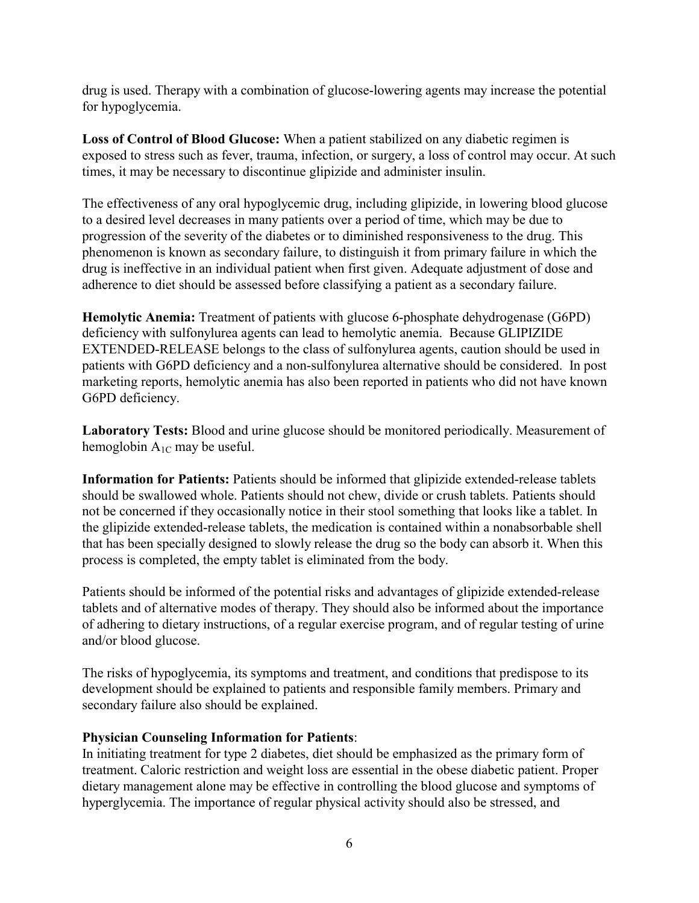drug is used. Therapy with a combination of glucose-lowering agents may increase the potential for hypoglycemia.

**Loss of Control of Blood Glucose:** When a patient stabilized on any diabetic regimen is exposed to stress such as fever, trauma, infection, or surgery, a loss of control may occur. At such times, it may be necessary to discontinue glipizide and administer insulin.

The effectiveness of any oral hypoglycemic drug, including glipizide, in lowering blood glucose to a desired level decreases in many patients over a period of time, which may be due to progression of the severity of the diabetes or to diminished responsiveness to the drug. This phenomenon is known as secondary failure, to distinguish it from primary failure in which the drug is ineffective in an individual patient when first given. Adequate adjustment of dose and adherence to diet should be assessed before classifying a patient as a secondary failure.

**Hemolytic Anemia:** Treatment of patients with glucose 6-phosphate dehydrogenase (G6PD) deficiency with sulfonylurea agents can lead to hemolytic anemia. Because GLIPIZIDE EXTENDED-RELEASE belongs to the class of sulfonylurea agents, caution should be used in patients with G6PD deficiency and a non-sulfonylurea alternative should be considered. In post marketing reports, hemolytic anemia has also been reported in patients who did not have known G6PD deficiency.

**Laboratory Tests:** Blood and urine glucose should be monitored periodically. Measurement of hemoglobin  $A_{1C}$  may be useful.

**Information for Patients:** Patients should be informed that glipizide extended-release tablets should be swallowed whole. Patients should not chew, divide or crush tablets. Patients should not be concerned if they occasionally notice in their stool something that looks like a tablet. In the glipizide extended-release tablets, the medication is contained within a nonabsorbable shell that has been specially designed to slowly release the drug so the body can absorb it. When this process is completed, the empty tablet is eliminated from the body.

Patients should be informed of the potential risks and advantages of glipizide extended-release tablets and of alternative modes of therapy. They should also be informed about the importance of adhering to dietary instructions, of a regular exercise program, and of regular testing of urine and/or blood glucose.

The risks of hypoglycemia, its symptoms and treatment, and conditions that predispose to its development should be explained to patients and responsible family members. Primary and secondary failure also should be explained.

### **Physician Counseling Information for Patients**:

In initiating treatment for type 2 diabetes, diet should be emphasized as the primary form of treatment. Caloric restriction and weight loss are essential in the obese diabetic patient. Proper dietary management alone may be effective in controlling the blood glucose and symptoms of hyperglycemia. The importance of regular physical activity should also be stressed, and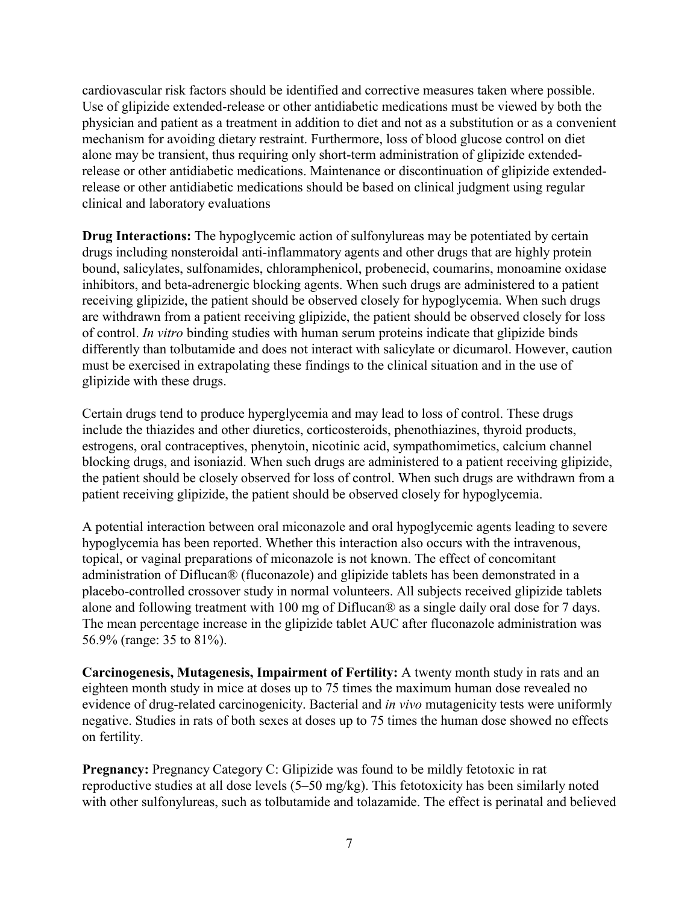cardiovascular risk factors should be identified and corrective measures taken where possible. Use of glipizide extended-release or other antidiabetic medications must be viewed by both the physician and patient as a treatment in addition to diet and not as a substitution or as a convenient mechanism for avoiding dietary restraint. Furthermore, loss of blood glucose control on diet alone may be transient, thus requiring only short-term administration of glipizide extendedrelease or other antidiabetic medications. Maintenance or discontinuation of glipizide extendedrelease or other antidiabetic medications should be based on clinical judgment using regular clinical and laboratory evaluations

**Drug Interactions:** The hypoglycemic action of sulfonylureas may be potentiated by certain drugs including nonsteroidal anti-inflammatory agents and other drugs that are highly protein bound, salicylates, sulfonamides, chloramphenicol, probenecid, coumarins, monoamine oxidase inhibitors, and beta-adrenergic blocking agents. When such drugs are administered to a patient receiving glipizide, the patient should be observed closely for hypoglycemia. When such drugs are withdrawn from a patient receiving glipizide, the patient should be observed closely for loss of control. *In vitro* binding studies with human serum proteins indicate that glipizide binds differently than tolbutamide and does not interact with salicylate or dicumarol. However, caution must be exercised in extrapolating these findings to the clinical situation and in the use of glipizide with these drugs.

Certain drugs tend to produce hyperglycemia and may lead to loss of control. These drugs include the thiazides and other diuretics, corticosteroids, phenothiazines, thyroid products, estrogens, oral contraceptives, phenytoin, nicotinic acid, sympathomimetics, calcium channel blocking drugs, and isoniazid. When such drugs are administered to a patient receiving glipizide, the patient should be closely observed for loss of control. When such drugs are withdrawn from a patient receiving glipizide, the patient should be observed closely for hypoglycemia.

A potential interaction between oral miconazole and oral hypoglycemic agents leading to severe hypoglycemia has been reported. Whether this interaction also occurs with the intravenous, topical, or vaginal preparations of miconazole is not known. The effect of concomitant administration of Diflucan® (fluconazole) and glipizide tablets has been demonstrated in a placebo-controlled crossover study in normal volunteers. All subjects received glipizide tablets alone and following treatment with 100 mg of Diflucan® as a single daily oral dose for 7 days. The mean percentage increase in the glipizide tablet AUC after fluconazole administration was 56.9% (range: 35 to 81%).

**Carcinogenesis, Mutagenesis, Impairment of Fertility:** A twenty month study in rats and an eighteen month study in mice at doses up to 75 times the maximum human dose revealed no evidence of drug-related carcinogenicity. Bacterial and *in vivo* mutagenicity tests were uniformly negative. Studies in rats of both sexes at doses up to 75 times the human dose showed no effects on fertility.

**Pregnancy:** Pregnancy Category C: Glipizide was found to be mildly fetotoxic in rat reproductive studies at all dose levels (5–50 mg/kg). This fetotoxicity has been similarly noted with other sulfonylureas, such as tolbutamide and tolazamide. The effect is perinatal and believed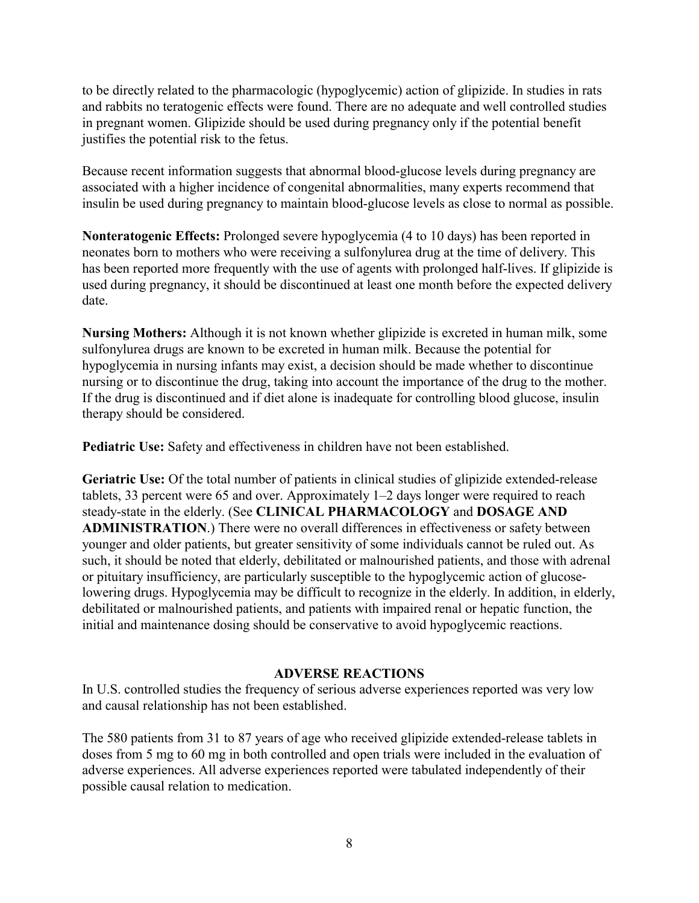to be directly related to the pharmacologic (hypoglycemic) action of glipizide. In studies in rats and rabbits no teratogenic effects were found. There are no adequate and well controlled studies in pregnant women. Glipizide should be used during pregnancy only if the potential benefit justifies the potential risk to the fetus.

Because recent information suggests that abnormal blood-glucose levels during pregnancy are associated with a higher incidence of congenital abnormalities, many experts recommend that insulin be used during pregnancy to maintain blood-glucose levels as close to normal as possible.

**Nonteratogenic Effects:** Prolonged severe hypoglycemia (4 to 10 days) has been reported in neonates born to mothers who were receiving a sulfonylurea drug at the time of delivery. This has been reported more frequently with the use of agents with prolonged half-lives. If glipizide is used during pregnancy, it should be discontinued at least one month before the expected delivery date.

**Nursing Mothers:** Although it is not known whether glipizide is excreted in human milk, some sulfonylurea drugs are known to be excreted in human milk. Because the potential for hypoglycemia in nursing infants may exist, a decision should be made whether to discontinue nursing or to discontinue the drug, taking into account the importance of the drug to the mother. If the drug is discontinued and if diet alone is inadequate for controlling blood glucose, insulin therapy should be considered.

**Pediatric Use:** Safety and effectiveness in children have not been established.

**Geriatric Use:** Of the total number of patients in clinical studies of glipizide extended-release tablets, 33 percent were 65 and over. Approximately 1–2 days longer were required to reach steady-state in the elderly. (See **CLINICAL PHARMACOLOGY** and **DOSAGE AND ADMINISTRATION**.) There were no overall differences in effectiveness or safety between younger and older patients, but greater sensitivity of some individuals cannot be ruled out. As such, it should be noted that elderly, debilitated or malnourished patients, and those with adrenal or pituitary insufficiency, are particularly susceptible to the hypoglycemic action of glucoselowering drugs. Hypoglycemia may be difficult to recognize in the elderly. In addition, in elderly, debilitated or malnourished patients, and patients with impaired renal or hepatic function, the initial and maintenance dosing should be conservative to avoid hypoglycemic reactions.

### **ADVERSE REACTIONS**

In U.S. controlled studies the frequency of serious adverse experiences reported was very low and causal relationship has not been established.

The 580 patients from 31 to 87 years of age who received glipizide extended-release tablets in doses from 5 mg to 60 mg in both controlled and open trials were included in the evaluation of adverse experiences. All adverse experiences reported were tabulated independently of their possible causal relation to medication.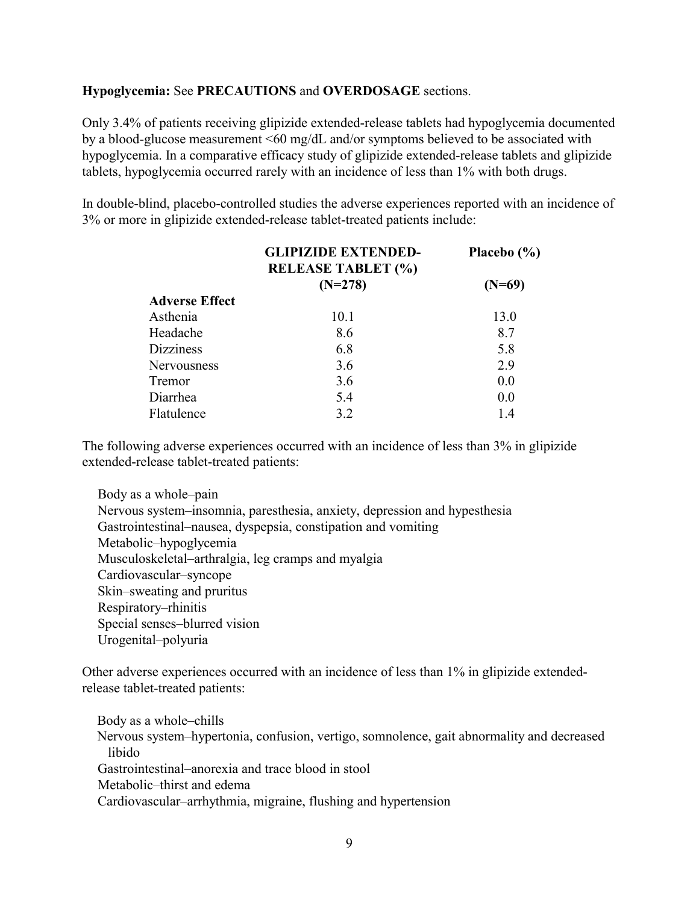### **Hypoglycemia:** See **PRECAUTIONS** and **OVERDOSAGE** sections.

Only 3.4% of patients receiving glipizide extended-release tablets had hypoglycemia documented by a blood-glucose measurement <60 mg/dL and/or symptoms believed to be associated with hypoglycemia. In a comparative efficacy study of glipizide extended-release tablets and glipizide tablets, hypoglycemia occurred rarely with an incidence of less than 1% with both drugs.

In double-blind, placebo-controlled studies the adverse experiences reported with an incidence of 3% or more in glipizide extended-release tablet-treated patients include:

| Placebo $(\% )$ |
|-----------------|
| $(N=69)$        |
|                 |
| 13.0            |
| 8.7             |
| 5.8             |
| 2.9             |
| 0.0             |
| 0.0             |
| 1.4             |
|                 |

The following adverse experiences occurred with an incidence of less than 3% in glipizide extended-release tablet-treated patients:

Body as a whole–pain Nervous system–insomnia, paresthesia, anxiety, depression and hypesthesia Gastrointestinal–nausea, dyspepsia, constipation and vomiting Metabolic–hypoglycemia Musculoskeletal–arthralgia, leg cramps and myalgia Cardiovascular–syncope Skin–sweating and pruritus Respiratory–rhinitis Special senses–blurred vision Urogenital–polyuria

Other adverse experiences occurred with an incidence of less than 1% in glipizide extendedrelease tablet-treated patients:

Body as a whole–chills Nervous system–hypertonia, confusion, vertigo, somnolence, gait abnormality and decreased libido Gastrointestinal–anorexia and trace blood in stool Metabolic–thirst and edema Cardiovascular–arrhythmia, migraine, flushing and hypertension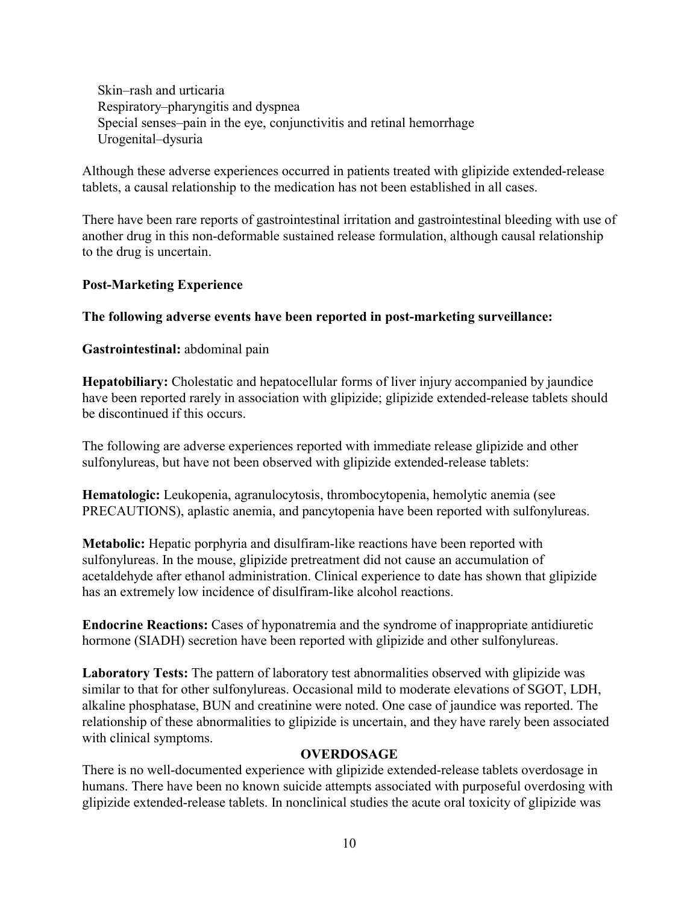Skin–rash and urticaria Respiratory–pharyngitis and dyspnea Special senses–pain in the eye, conjunctivitis and retinal hemorrhage Urogenital–dysuria

Although these adverse experiences occurred in patients treated with glipizide extended-release tablets, a causal relationship to the medication has not been established in all cases.

There have been rare reports of gastrointestinal irritation and gastrointestinal bleeding with use of another drug in this non-deformable sustained release formulation, although causal relationship to the drug is uncertain.

### **Post-Marketing Experience**

### **The following adverse events have been reported in post-marketing surveillance:**

### **Gastrointestinal:** abdominal pain

**Hepatobiliary:** Cholestatic and hepatocellular forms of liver injury accompanied by jaundice have been reported rarely in association with glipizide; glipizide extended-release tablets should be discontinued if this occurs.

The following are adverse experiences reported with immediate release glipizide and other sulfonylureas, but have not been observed with glipizide extended-release tablets:

**Hematologic:** Leukopenia, agranulocytosis, thrombocytopenia, hemolytic anemia (see PRECAUTIONS), aplastic anemia, and pancytopenia have been reported with sulfonylureas.

**Metabolic:** Hepatic porphyria and disulfiram-like reactions have been reported with sulfonylureas. In the mouse, glipizide pretreatment did not cause an accumulation of acetaldehyde after ethanol administration. Clinical experience to date has shown that glipizide has an extremely low incidence of disulfiram-like alcohol reactions.

**Endocrine Reactions:** Cases of hyponatremia and the syndrome of inappropriate antidiuretic hormone (SIADH) secretion have been reported with glipizide and other sulfonylureas.

**Laboratory Tests:** The pattern of laboratory test abnormalities observed with glipizide was similar to that for other sulfonylureas. Occasional mild to moderate elevations of SGOT, LDH, alkaline phosphatase, BUN and creatinine were noted. One case of jaundice was reported. The relationship of these abnormalities to glipizide is uncertain, and they have rarely been associated with clinical symptoms.

### **OVERDOSAGE**

There is no well-documented experience with glipizide extended-release tablets overdosage in humans. There have been no known suicide attempts associated with purposeful overdosing with glipizide extended-release tablets. In nonclinical studies the acute oral toxicity of glipizide was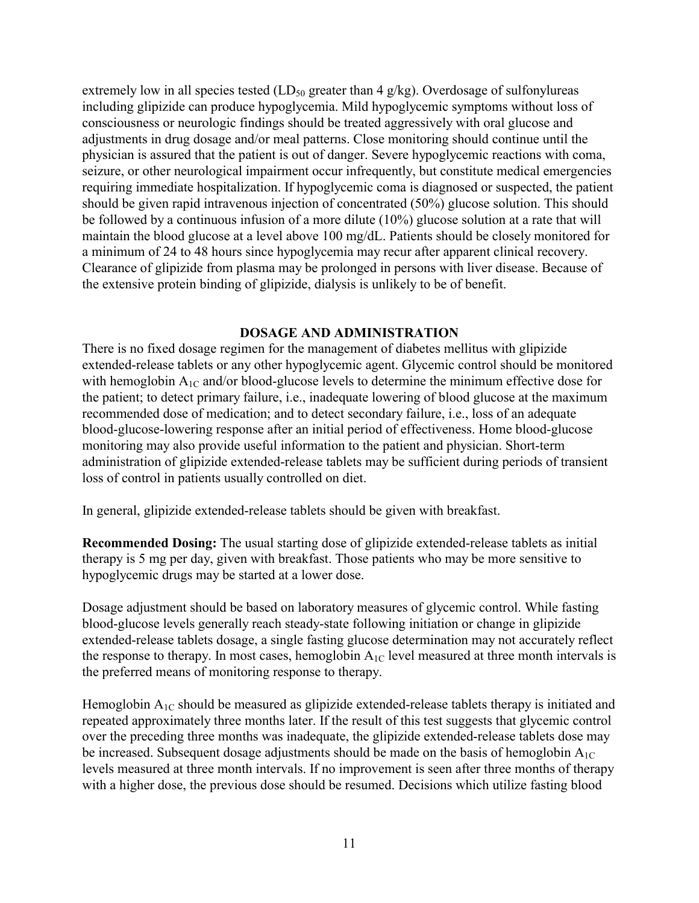extremely low in all species tested  $(LD_{50}$  greater than 4 g/kg). Overdosage of sulfonylureas including glipizide can produce hypoglycemia. Mild hypoglycemic symptoms without loss of consciousness or neurologic findings should be treated aggressively with oral glucose and adjustments in drug dosage and/or meal patterns. Close monitoring should continue until the physician is assured that the patient is out of danger. Severe hypoglycemic reactions with coma, seizure, or other neurological impairment occur infrequently, but constitute medical emergencies requiring immediate hospitalization. If hypoglycemic coma is diagnosed or suspected, the patient should be given rapid intravenous injection of concentrated (50%) glucose solution. This should be followed by a continuous infusion of a more dilute (10%) glucose solution at a rate that will maintain the blood glucose at a level above 100 mg/dL. Patients should be closely monitored for a minimum of 24 to 48 hours since hypoglycemia may recur after apparent clinical recovery. Clearance of glipizide from plasma may be prolonged in persons with liver disease. Because of the extensive protein binding of glipizide, dialysis is unlikely to be of benefit.

#### **DOSAGE AND ADMINISTRATION**

There is no fixed dosage regimen for the management of diabetes mellitus with glipizide extended-release tablets or any other hypoglycemic agent. Glycemic control should be monitored with hemoglobin  $A_{1C}$  and/or blood-glucose levels to determine the minimum effective dose for the patient; to detect primary failure, i.e., inadequate lowering of blood glucose at the maximum recommended dose of medication; and to detect secondary failure, i.e., loss of an adequate blood-glucose-lowering response after an initial period of effectiveness. Home blood-glucose monitoring may also provide useful information to the patient and physician. Short-term administration of glipizide extended-release tablets may be sufficient during periods of transient loss of control in patients usually controlled on diet.

In general, glipizide extended-release tablets should be given with breakfast.

**Recommended Dosing:** The usual starting dose of glipizide extended-release tablets as initial therapy is 5 mg per day, given with breakfast. Those patients who may be more sensitive to hypoglycemic drugs may be started at a lower dose.

Dosage adjustment should be based on laboratory measures of glycemic control. While fasting blood-glucose levels generally reach steady-state following initiation or change in glipizide extended-release tablets dosage, a single fasting glucose determination may not accurately reflect the response to therapy. In most cases, hemoglobin  $A_{1C}$  level measured at three month intervals is the preferred means of monitoring response to therapy.

Hemoglobin  $A_{1C}$  should be measured as glipizide extended-release tablets therapy is initiated and repeated approximately three months later. If the result of this test suggests that glycemic control over the preceding three months was inadequate, the glipizide extended-release tablets dose may be increased. Subsequent dosage adjustments should be made on the basis of hemoglobin  $A_{1C}$ levels measured at three month intervals. If no improvement is seen after three months of therapy with a higher dose, the previous dose should be resumed. Decisions which utilize fasting blood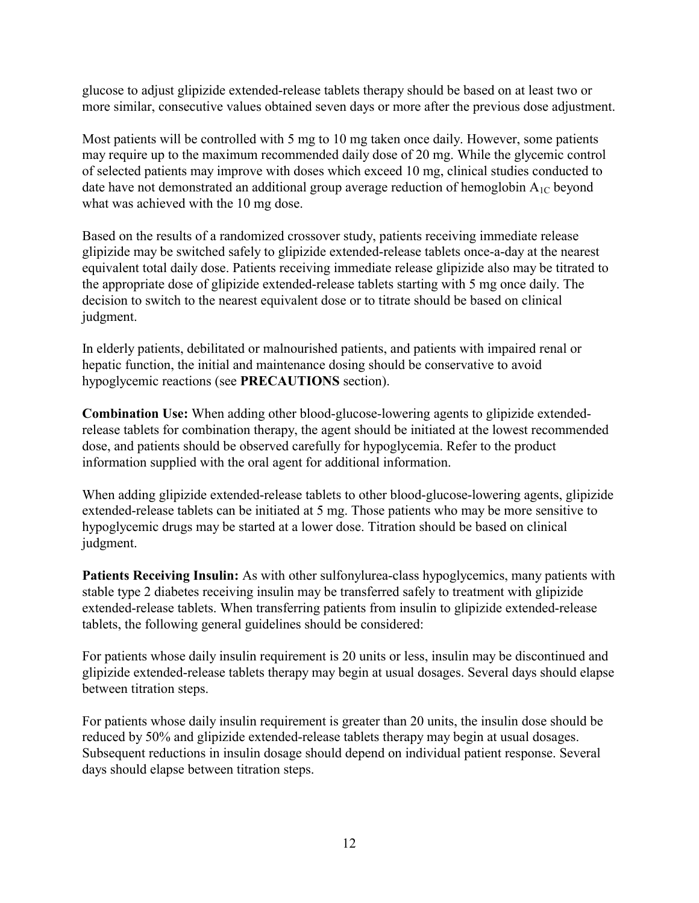glucose to adjust glipizide extended-release tablets therapy should be based on at least two or more similar, consecutive values obtained seven days or more after the previous dose adjustment.

Most patients will be controlled with 5 mg to 10 mg taken once daily. However, some patients may require up to the maximum recommended daily dose of 20 mg. While the glycemic control of selected patients may improve with doses which exceed 10 mg, clinical studies conducted to date have not demonstrated an additional group average reduction of hemoglobin  $A_{1C}$  beyond what was achieved with the 10 mg dose.

Based on the results of a randomized crossover study, patients receiving immediate release glipizide may be switched safely to glipizide extended-release tablets once-a-day at the nearest equivalent total daily dose. Patients receiving immediate release glipizide also may be titrated to the appropriate dose of glipizide extended-release tablets starting with 5 mg once daily. The decision to switch to the nearest equivalent dose or to titrate should be based on clinical judgment.

In elderly patients, debilitated or malnourished patients, and patients with impaired renal or hepatic function, the initial and maintenance dosing should be conservative to avoid hypoglycemic reactions (see **PRECAUTIONS** section).

**Combination Use:** When adding other blood-glucose-lowering agents to glipizide extendedrelease tablets for combination therapy, the agent should be initiated at the lowest recommended dose, and patients should be observed carefully for hypoglycemia. Refer to the product information supplied with the oral agent for additional information.

When adding glipizide extended-release tablets to other blood-glucose-lowering agents, glipizide extended-release tablets can be initiated at 5 mg. Those patients who may be more sensitive to hypoglycemic drugs may be started at a lower dose. Titration should be based on clinical judgment.

**Patients Receiving Insulin:** As with other sulfonylurea-class hypoglycemics, many patients with stable type 2 diabetes receiving insulin may be transferred safely to treatment with glipizide extended-release tablets. When transferring patients from insulin to glipizide extended-release tablets, the following general guidelines should be considered:

For patients whose daily insulin requirement is 20 units or less, insulin may be discontinued and glipizide extended-release tablets therapy may begin at usual dosages. Several days should elapse between titration steps.

For patients whose daily insulin requirement is greater than 20 units, the insulin dose should be reduced by 50% and glipizide extended-release tablets therapy may begin at usual dosages. Subsequent reductions in insulin dosage should depend on individual patient response. Several days should elapse between titration steps.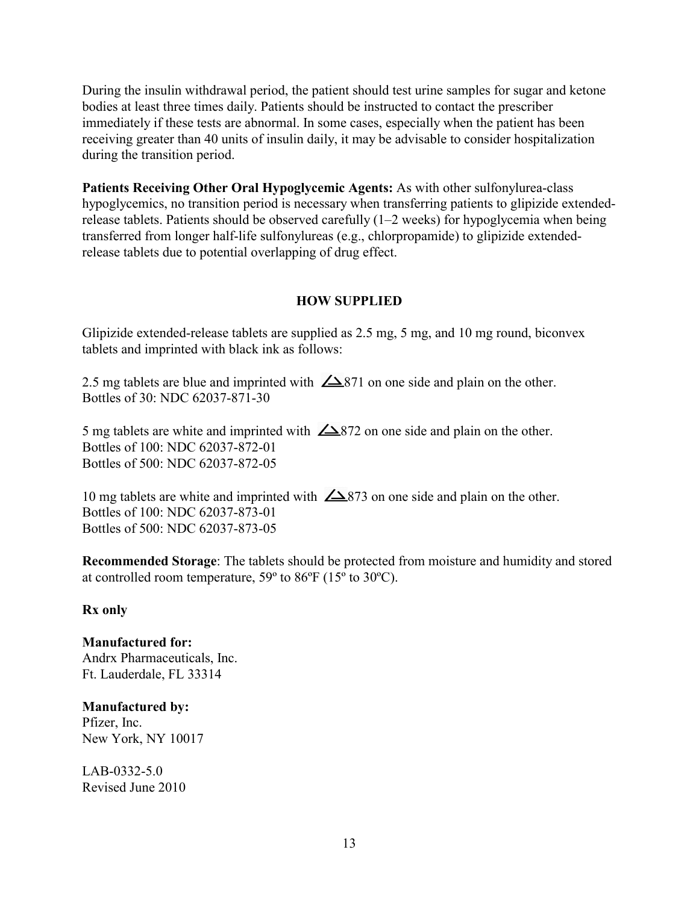During the insulin withdrawal period, the patient should test urine samples for sugar and ketone bodies at least three times daily. Patients should be instructed to contact the prescriber immediately if these tests are abnormal. In some cases, especially when the patient has been receiving greater than 40 units of insulin daily, it may be advisable to consider hospitalization during the transition period.

**Patients Receiving Other Oral Hypoglycemic Agents:** As with other sulfonylurea-class hypoglycemics, no transition period is necessary when transferring patients to glipizide extendedrelease tablets. Patients should be observed carefully (1–2 weeks) for hypoglycemia when being transferred from longer half-life sulfonylureas (e.g., chlorpropamide) to glipizide extendedrelease tablets due to potential overlapping of drug effect.

### **HOW SUPPLIED**

Glipizide extended-release tablets are supplied as 2.5 mg, 5 mg, and 10 mg round, biconvex tablets and imprinted with black ink as follows:

2.5 mg tablets are blue and imprinted with  $\angle 871$  on one side and plain on the other. Bottles of 30: NDC 62037-871-30

5 mg tablets are white and imprinted with  $\angle 872$  on one side and plain on the other. Bottles of 100: NDC 62037-872-01 Bottles of 500: NDC 62037-872-05

10 mg tablets are white and imprinted with  $\angle 873$  on one side and plain on the other. Bottles of 100: NDC 62037-873-01 Bottles of 500: NDC 62037-873-05

**Recommended Storage**: The tablets should be protected from moisture and humidity and stored at controlled room temperature, 59º to 86ºF (15º to 30ºC).

### **Rx only**

**Manufactured for:**  Andrx Pharmaceuticals, Inc. Ft. Lauderdale, FL 33314

### **Manufactured by:**

Pfizer, Inc. New York, NY 10017

 $LAB-0332-5.0$ Revised June 2010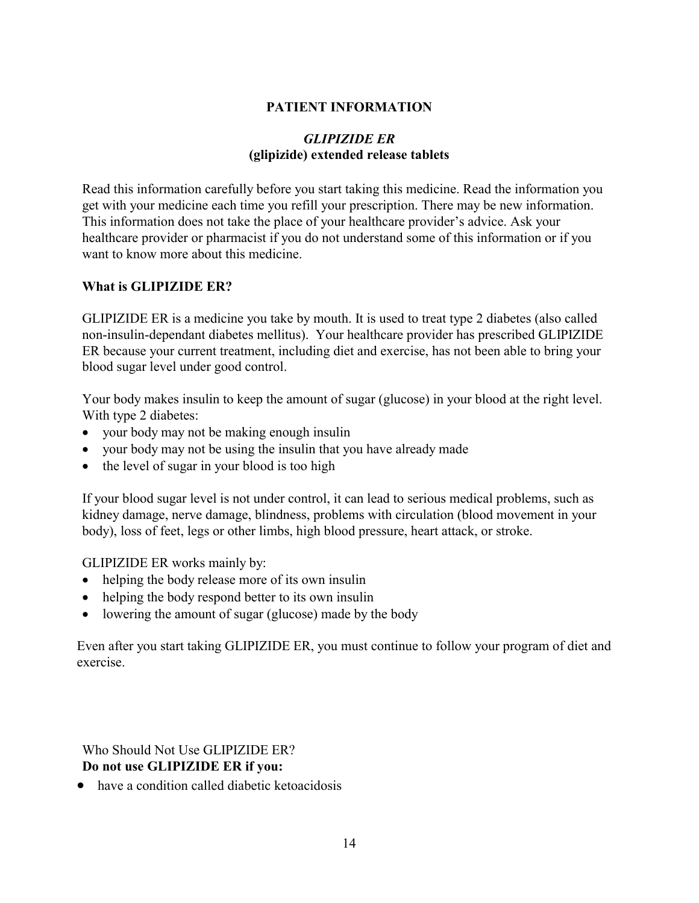## **PATIENT INFORMATION**

## *GLIPIZIDE ER* **(glipizide) extended release tablets**

Read this information carefully before you start taking this medicine. Read the information you get with your medicine each time you refill your prescription. There may be new information. This information does not take the place of your healthcare provider's advice. Ask your healthcare provider or pharmacist if you do not understand some of this information or if you want to know more about this medicine.

### **What is GLIPIZIDE ER?**

GLIPIZIDE ER is a medicine you take by mouth. It is used to treat type 2 diabetes (also called non-insulin-dependant diabetes mellitus). Your healthcare provider has prescribed GLIPIZIDE ER because your current treatment, including diet and exercise, has not been able to bring your blood sugar level under good control.

Your body makes insulin to keep the amount of sugar (glucose) in your blood at the right level. With type 2 diabetes:

- your body may not be making enough insulin
- your body may not be using the insulin that you have already made
- $\bullet$  the level of sugar in your blood is too high

If your blood sugar level is not under control, it can lead to serious medical problems, such as kidney damage, nerve damage, blindness, problems with circulation (blood movement in your body), loss of feet, legs or other limbs, high blood pressure, heart attack, or stroke.

GLIPIZIDE ER works mainly by:

- helping the body release more of its own insulin
- helping the body respond better to its own insulin
- lowering the amount of sugar (glucose) made by the body

Even after you start taking GLIPIZIDE ER, you must continue to follow your program of diet and exercise.

Who Should Not Use GLIPIZIDE ER? **Do not use GLIPIZIDE ER if you:**

• have a condition called diabetic ketoacidosis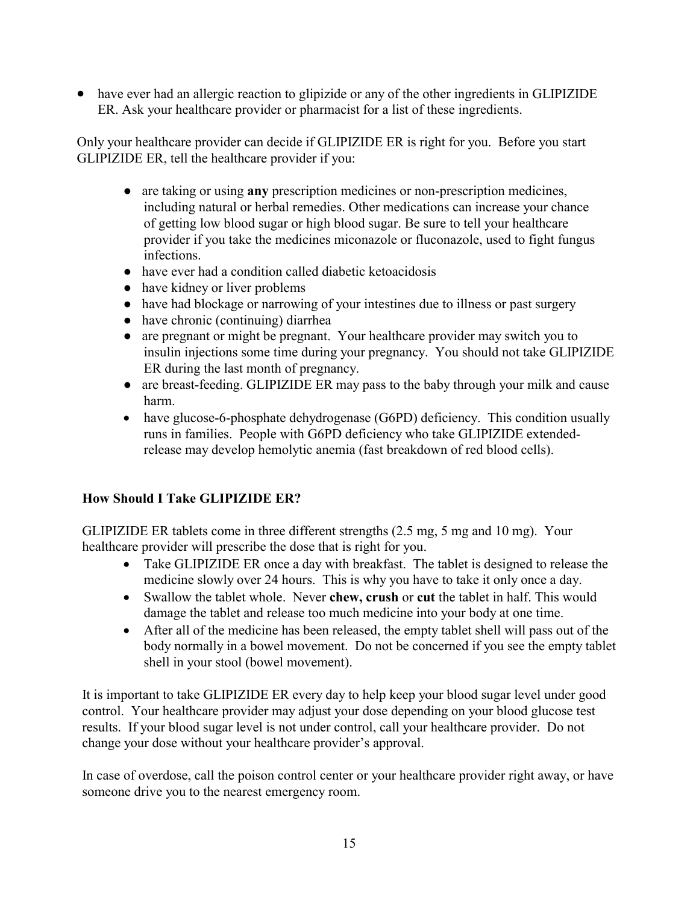have ever had an allergic reaction to glipizide or any of the other ingredients in GLIPIZIDE ER. Ask your healthcare provider or pharmacist for a list of these ingredients.

Only your healthcare provider can decide if GLIPIZIDE ER is right for you. Before you start GLIPIZIDE ER, tell the healthcare provider if you:

- are taking or using **any** prescription medicines or non-prescription medicines, including natural or herbal remedies. Other medications can increase your chance of getting low blood sugar or high blood sugar. Be sure to tell your healthcare provider if you take the medicines miconazole or fluconazole, used to fight fungus infections.
- have ever had a condition called diabetic ketoacidosis
- have kidney or liver problems
- have had blockage or narrowing of your intestines due to illness or past surgery
- have chronic (continuing) diarrhea
- are pregnant or might be pregnant. Your healthcare provider may switch you to insulin injections some time during your pregnancy. You should not take GLIPIZIDE ER during the last month of pregnancy.
- are breast-feeding. GLIPIZIDE ER may pass to the baby through your milk and cause harm.
- have glucose-6-phosphate dehydrogenase (G6PD) deficiency. This condition usually runs in families. People with G6PD deficiency who take GLIPIZIDE extendedrelease may develop hemolytic anemia (fast breakdown of red blood cells).

### **How Should I Take GLIPIZIDE ER?**

GLIPIZIDE ER tablets come in three different strengths (2.5 mg, 5 mg and 10 mg). Your healthcare provider will prescribe the dose that is right for you.

- Take GLIPIZIDE ER once a day with breakfast. The tablet is designed to release the medicine slowly over 24 hours. This is why you have to take it only once a day.
- Swallow the tablet whole. Never **chew, crush** or **cut** the tablet in half. This would damage the tablet and release too much medicine into your body at one time.
- After all of the medicine has been released, the empty tablet shell will pass out of the body normally in a bowel movement. Do not be concerned if you see the empty tablet shell in your stool (bowel movement).

It is important to take GLIPIZIDE ER every day to help keep your blood sugar level under good control. Your healthcare provider may adjust your dose depending on your blood glucose test results. If your blood sugar level is not under control, call your healthcare provider. Do not change your dose without your healthcare provider's approval.

In case of overdose, call the poison control center or your healthcare provider right away, or have someone drive you to the nearest emergency room.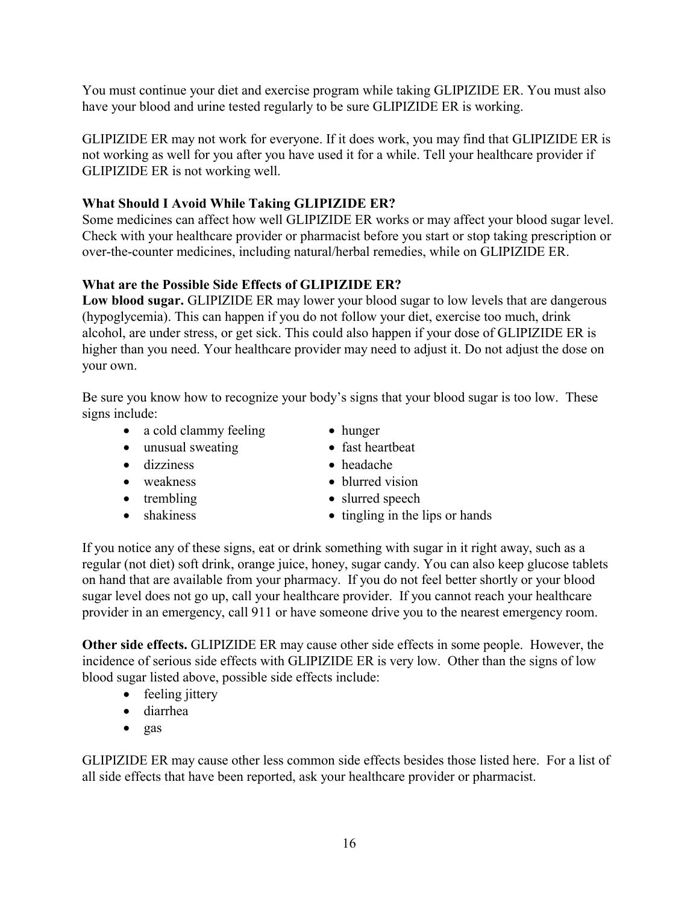You must continue your diet and exercise program while taking GLIPIZIDE ER. You must also have your blood and urine tested regularly to be sure GLIPIZIDE ER is working.

GLIPIZIDE ER may not work for everyone. If it does work, you may find that GLIPIZIDE ER is not working as well for you after you have used it for a while. Tell your healthcare provider if GLIPIZIDE ER is not working well.

# **What Should I Avoid While Taking GLIPIZIDE ER?**

Some medicines can affect how well GLIPIZIDE ER works or may affect your blood sugar level. Check with your healthcare provider or pharmacist before you start or stop taking prescription or over-the-counter medicines, including natural/herbal remedies, while on GLIPIZIDE ER.

# **What are the Possible Side Effects of GLIPIZIDE ER?**

**Low blood sugar.** GLIPIZIDE ER may lower your blood sugar to low levels that are dangerous (hypoglycemia). This can happen if you do not follow your diet, exercise too much, drink alcohol, are under stress, or get sick. This could also happen if your dose of GLIPIZIDE ER is higher than you need. Your healthcare provider may need to adjust it. Do not adjust the dose on your own.

Be sure you know how to recognize your body's signs that your blood sugar is too low. These signs include:

- a cold clammy feeling hunger
- unusual sweating fast heartbeat
- dizziness headache
- 
- 
- 
- 
- 
- 
- weakness blurred vision
- trembling slurred speech
- shakiness tingling in the lips or hands

If you notice any of these signs, eat or drink something with sugar in it right away, such as a regular (not diet) soft drink, orange juice, honey, sugar candy. You can also keep glucose tablets on hand that are available from your pharmacy. If you do not feel better shortly or your blood sugar level does not go up, call your healthcare provider. If you cannot reach your healthcare provider in an emergency, call 911 or have someone drive you to the nearest emergency room.

**Other side effects.** GLIPIZIDE ER may cause other side effects in some people. However, the incidence of serious side effects with GLIPIZIDE ER is very low. Other than the signs of low blood sugar listed above, possible side effects include:

- feeling jittery
- diarrhea
- $\bullet$  gas

GLIPIZIDE ER may cause other less common side effects besides those listed here. For a list of all side effects that have been reported, ask your healthcare provider or pharmacist.